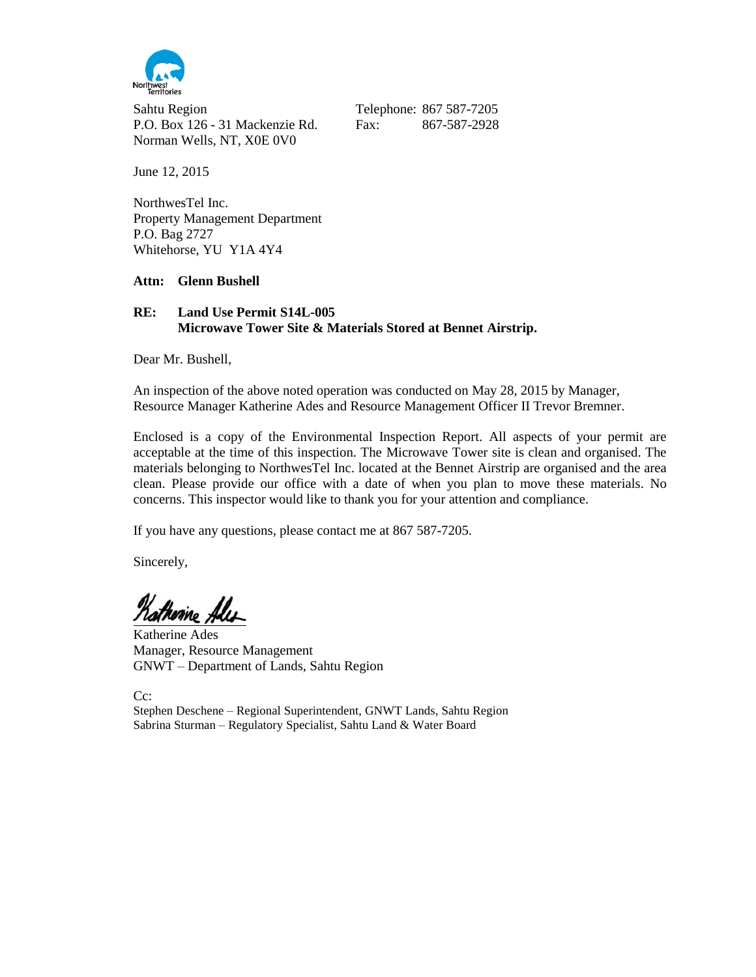

Sahtu Region Telephone: 867 587-7205 P.O. Box 126 - 31 Mackenzie Rd. Fax: 867-587-2928 Norman Wells, NT, X0E 0V0

June 12, 2015

NorthwesTel Inc. Property Management Department P.O. Bag 2727 Whitehorse, YU Y1A 4Y4

#### **Attn: Glenn Bushell**

## **RE: Land Use Permit S14L-005 Microwave Tower Site & Materials Stored at Bennet Airstrip.**

Dear Mr. Bushell,

An inspection of the above noted operation was conducted on May 28, 2015 by Manager, Resource Manager Katherine Ades and Resource Management Officer II Trevor Bremner.

Enclosed is a copy of the Environmental Inspection Report. All aspects of your permit are acceptable at the time of this inspection. The Microwave Tower site is clean and organised. The materials belonging to NorthwesTel Inc. located at the Bennet Airstrip are organised and the area clean. Please provide our office with a date of when you plan to move these materials. No concerns. This inspector would like to thank you for your attention and compliance.

If you have any questions, please contact me at 867 587-7205.

Sincerely,

Katherine Ales

Katherine Ades Manager, Resource Management GNWT – Department of Lands, Sahtu Region

Cc:

Stephen Deschene – Regional Superintendent, GNWT Lands, Sahtu Region Sabrina Sturman – Regulatory Specialist, Sahtu Land & Water Board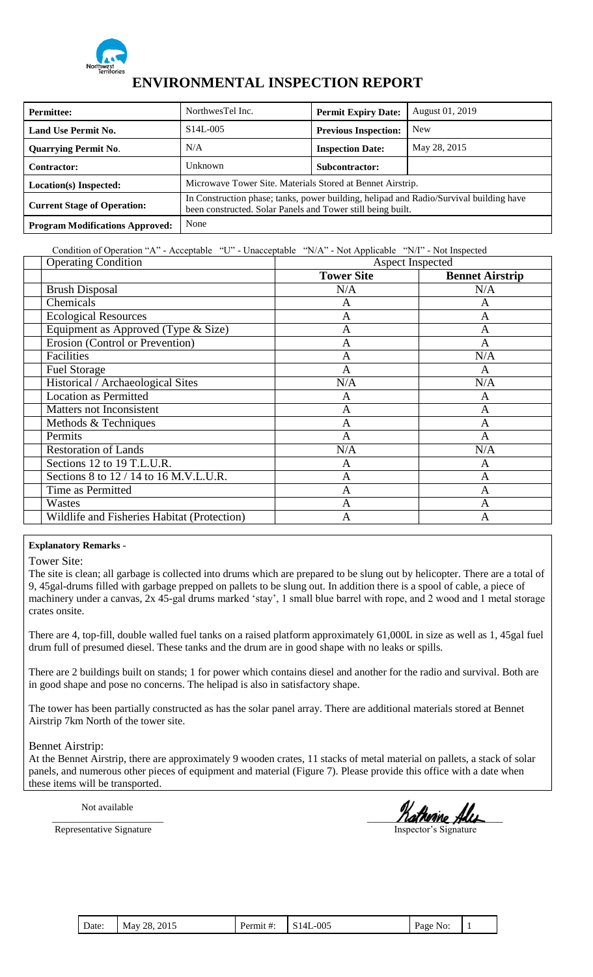

## **ENVIRONMENTAL INSPECTION REPORT**

| <b>Permittee:</b>                      | NorthwesTel Inc.                                                                                                                                      | <b>Permit Expiry Date:</b>  | August 01, 2019 |
|----------------------------------------|-------------------------------------------------------------------------------------------------------------------------------------------------------|-----------------------------|-----------------|
| <b>Land Use Permit No.</b>             | $S14L-005$                                                                                                                                            | <b>Previous Inspection:</b> | <b>New</b>      |
| <b>Quarrying Permit No.</b>            | N/A                                                                                                                                                   | <b>Inspection Date:</b>     | May 28, 2015    |
| <b>Contractor:</b>                     | Unknown                                                                                                                                               | <b>Subcontractor:</b>       |                 |
| Location(s) Inspected:                 | Microwave Tower Site. Materials Stored at Bennet Airstrip.                                                                                            |                             |                 |
| <b>Current Stage of Operation:</b>     | In Construction phase; tanks, power building, helipad and Radio/Survival building have<br>been constructed. Solar Panels and Tower still being built. |                             |                 |
| <b>Program Modifications Approved:</b> | None                                                                                                                                                  |                             |                 |

## Condition of Operation "A" - Acceptable "U" - Unacceptable "N/A" - Not Applicable "N/I" - Not Inspected

| <b>Operating Condition</b>                  |                   | Aspect Inspected       |
|---------------------------------------------|-------------------|------------------------|
|                                             | <b>Tower Site</b> | <b>Bennet Airstrip</b> |
| <b>Brush Disposal</b>                       | N/A               | N/A                    |
| Chemicals                                   | A                 | A                      |
| <b>Ecological Resources</b>                 | $\mathbf{A}$      | A                      |
| Equipment as Approved (Type & Size)         | A                 | A                      |
| Erosion (Control or Prevention)             | A                 | A                      |
| Facilities                                  | A                 | N/A                    |
| <b>Fuel Storage</b>                         | A                 | A                      |
| Historical / Archaeological Sites           | N/A               | N/A                    |
| <b>Location as Permitted</b>                | A                 | A                      |
| Matters not Inconsistent                    | A                 | A                      |
| Methods & Techniques                        | A                 | A                      |
| Permits                                     | $\mathbf{A}$      | A                      |
| <b>Restoration of Lands</b>                 | N/A               | N/A                    |
| Sections 12 to 19 T.L.U.R.                  | A                 | A                      |
| Sections 8 to 12 / 14 to 16 M.V.L.U.R.      | A                 | A                      |
| Time as Permitted                           | $\overline{A}$    | A                      |
| Wastes                                      | A                 | A                      |
| Wildlife and Fisheries Habitat (Protection) | A                 | A                      |

## **Explanatory Remarks -**

Tower Site:

The site is clean; all garbage is collected into drums which are prepared to be slung out by helicopter. There are a total of 9, 45gal-drums filled with garbage prepped on pallets to be slung out. In addition there is a spool of cable, a piece of machinery under a canvas, 2x 45-gal drums marked "stay", 1 small blue barrel with rope, and 2 wood and 1 metal storage crates onsite.

There are 4, top-fill, double walled fuel tanks on a raised platform approximately 61,000L in size as well as 1, 45gal fuel drum full of presumed diesel. These tanks and the drum are in good shape with no leaks or spills.

There are 2 buildings built on stands; 1 for power which contains diesel and another for the radio and survival. Both are in good shape and pose no concerns. The helipad is also in satisfactory shape.

The tower has been partially constructed as has the solar panel array. There are additional materials stored at Bennet Airstrip 7km North of the tower site.

## Bennet Airstrip:

At the Bennet Airstrip, there are approximately 9 wooden crates, 11 stacks of metal material on pallets, a stack of solar panels, and numerous other pieces of equipment and material (Figure 7). Please provide this office with a date when these items will be transported.

Not available

atherine A

Representative Signature Inspector's Signature

| $\blacksquare$ Date:<br>2015<br>28.<br>Mav | <b>S14L</b><br>Permit #: | -005 | Page No: |  |
|--------------------------------------------|--------------------------|------|----------|--|
|--------------------------------------------|--------------------------|------|----------|--|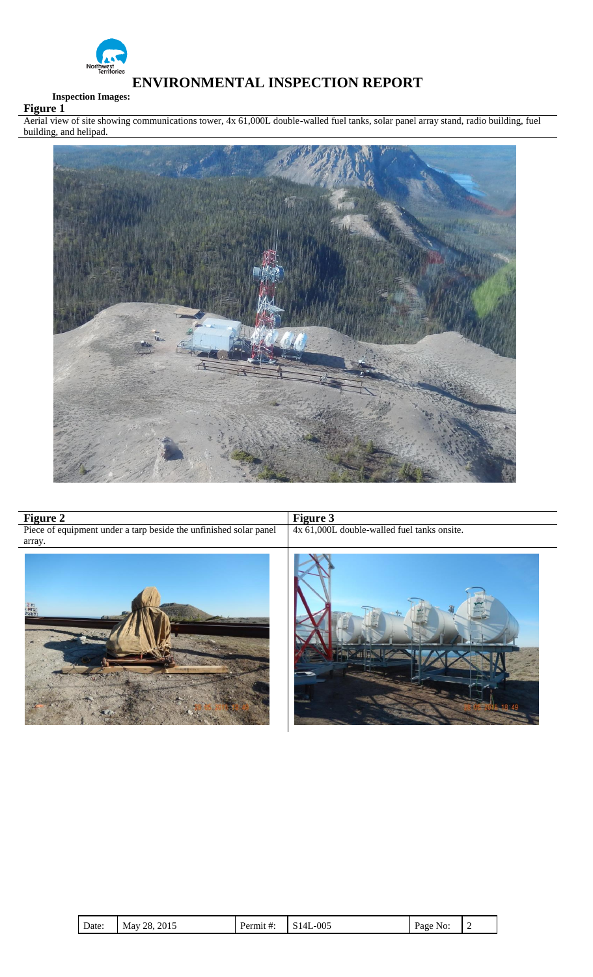

The Control of the Control of the Control of the Control of the Control of the Control of the Control of the Control of the Control of the Control of the Control of the Control of the Control of the Control of the Control

# **ENVIRONMENTAL INSPECTION REPORT**

## **Inspection Images:**

**Figure 1** Aerial view of site showing communications tower, 4x 61,000L double-walled fuel tanks, solar panel array stand, radio building, fuel building, and helipad.



| <b>Figure 2</b>                                                             | <b>Figure 3</b>                             |  |  |
|-----------------------------------------------------------------------------|---------------------------------------------|--|--|
| Piece of equipment under a tarp beside the unfinished solar panel<br>array. | 4x 61,000L double-walled fuel tanks onsite. |  |  |
| उटर                                                                         |                                             |  |  |

| D<br>Date: | 2015<br>28.<br>May | Permit #: | -005<br>$\tilde{\phantom{a}}$<br>14<br>ມ<br>᠇▃ | Page No: |  |
|------------|--------------------|-----------|------------------------------------------------|----------|--|